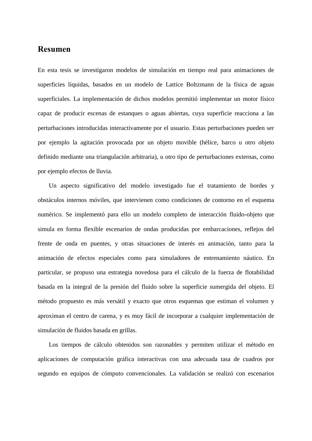## **Resumen**

En esta tesis se investigaron modelos de simulación en tiempo real para animaciones de superficies líquidas, basados en un modelo de Lattice Boltzmann de la física de aguas superficiales. La implementación de dichos modelos permitió implementar un motor físico capaz de producir escenas de estanques o aguas abiertas, cuya superficie reacciona a las perturbaciones introducidas interactivamente por el usuario. Estas perturbaciones pueden ser por ejemplo la agitación provocada por un objeto movible (hélice, barco u otro objeto definido mediante una triangulación arbitraria), u otro tipo de perturbaciones externas, como por ejemplo efectos de lluvia.

Un aspecto significativo del modelo investigado fue el tratamiento de bordes y obstáculos internos móviles, que intervienen como condiciones de contorno en el esquema numérico. Se implementó para ello un modelo completo de interacción fluido-objeto que simula en forma flexible escenarios de ondas producidas por embarcaciones, reflejos del frente de onda en puentes, y otras situaciones de interés en animación, tanto para la animación de efectos especiales como para simuladores de entrenamiento náutico. En particular, se propuso una estrategia novedosa para el cálculo de la fuerza de flotabilidad basada en la integral de la presión del fluido sobre la superficie sumergida del objeto. El método propuesto es más versátil y exacto que otros esquemas que estiman el volumen y aproximan el centro de carena, y es muy fácil de incorporar a cualquier implementación de simulación de fluidos basada en grillas.

Los tiempos de cálculo obtenidos son razonables y permiten utilizar el método en aplicaciones de computación gráfica interactivas con una adecuada tasa de cuadros por segundo en equipos de cómputo convencionales. La validación se realizó con escenarios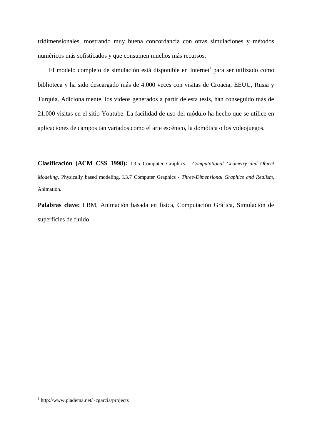tridimensionales, mostrando muy buena concordancia con otras simulaciones y métodos numéricos más sofisticados y que consumen muchos más recursos.

El modelo completo de simulación está disponible en Internet<sup>1</sup> para ser utilizado como biblioteca y ha sido descargado más de 4.000 veces con visitas de Croacia, EEUU, Rusia y Turquía. Adicionalmente, los videos generados a partir de esta tesis, han conseguido más de 21.000 visitas en el sitio Youtube. La facilidad de uso del módulo ha hecho que se utilice en aplicaciones de campos tan variados como el arte escénico, la domótica o los videojuegos.

**Clasificación (ACM CSS 1998):** I.3.5 Computer Graphics - *Computational Geometry and Object Modeling*, Physically based modeling. I.3.7 Computer Graphics - *Three-Dimensional Graphics and Realism*, Animation.

**Palabras clave:** LBM, Animación basada en física, Computación Gráfica, Simulación de superficies de fluido

1

<sup>1</sup> http://www.pladema.net/~cgarcia/projects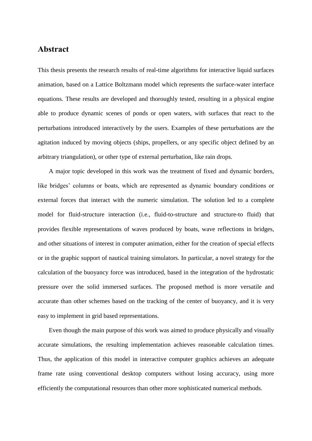## **Abstract**

This thesis presents the research results of real-time algorithms for interactive liquid surfaces animation, based on a Lattice Boltzmann model which represents the surface-water interface equations. These results are developed and thoroughly tested, resulting in a physical engine able to produce dynamic scenes of ponds or open waters, with surfaces that react to the perturbations introduced interactively by the users. Examples of these perturbations are the agitation induced by moving objects (ships, propellers, or any specific object defined by an arbitrary triangulation), or other type of external perturbation, like rain drops.

A major topic developed in this work was the treatment of fixed and dynamic borders, like bridges' columns or boats, which are represented as dynamic boundary conditions or external forces that interact with the numeric simulation. The solution led to a complete model for fluid-structure interaction (i.e., fluid-to-structure and structure-to fluid) that provides flexible representations of waves produced by boats, wave reflections in bridges, and other situations of interest in computer animation, either for the creation of special effects or in the graphic support of nautical training simulators. In particular, a novel strategy for the calculation of the buoyancy force was introduced, based in the integration of the hydrostatic pressure over the solid immersed surfaces. The proposed method is more versatile and accurate than other schemes based on the tracking of the center of buoyancy, and it is very easy to implement in grid based representations.

Even though the main purpose of this work was aimed to produce physically and visually accurate simulations, the resulting implementation achieves reasonable calculation times. Thus, the application of this model in interactive computer graphics achieves an adequate frame rate using conventional desktop computers without losing accuracy, using more efficiently the computational resources than other more sophisticated numerical methods.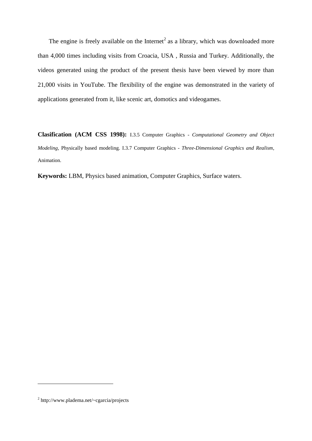The engine is freely available on the Internet<sup>2</sup> as a library, which was downloaded more than 4,000 times including visits from Croacia, USA , Russia and Turkey. Additionally, the videos generated using the product of the present thesis have been viewed by more than 21,000 visits in YouTube. The flexibility of the engine was demonstrated in the variety of applications generated from it, like scenic art, domotics and videogames.

**Clasification (ACM CSS 1998):** I.3.5 Computer Graphics - *Computational Geometry and Object Modeling*, Physically based modeling. I.3.7 Computer Graphics - *Three-Dimensional Graphics and Realism*, Animation.

**Keywords:** LBM, Physics based animation, Computer Graphics, Surface waters.

1

<sup>&</sup>lt;sup>2</sup> http://www.pladema.net/~cgarcia/projects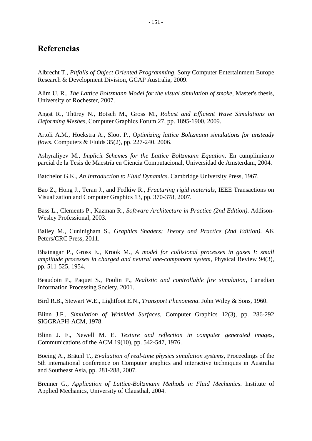## **Referencias**

Albrecht T., *Pitfalls of Object Oriented Programming,* Sony Computer Entertainment Europe Research & Development Division, GCAP Australia, 2009.

Alim U. R., *The Lattice Boltzmann Model for the visual simulation of smoke*, Master's thesis, University of Rochester, 2007.

Angst R., Thürey N., Botsch M., Gross M., *Robust and Efficient Wave Simulations on Deforming Meshes*, Computer Graphics Forum 27, pp. 1895-1900, 2009.

Artoli A.M., Hoekstra A., Sloot P., *Optimizing lattice Boltzmann simulations for unsteady flows*. Computers & Fluids 35(2), pp. 227-240, 2006.

Ashyraliyev M., *Implicit Schemes for the Lattice Boltzmann Equation*. En cumplimiento parcial de la Tesis de Maestría en Ciencia Computacional, Universidad de Amsterdam, 2004.

Batchelor G.K., *An Introduction to Fluid Dynamics*. Cambridge University Press, 1967.

Bao Z., Hong J., Teran J., and Fedkiw R., *Fracturing rigid materials*, IEEE Transactions on Visualization and Computer Graphics 13, pp. 370-378, 2007.

Bass L., Clements P., Kazman R., *Software Architecture in Practice (2nd Edition)*. Addison-Wesley Professional, 2003.

Bailey M., Cuninigham S., *Graphics Shaders: Theory and Practice (2nd Edition)*. AK Peters/CRC Press, 2011.

Bhatnagar P., Gross E., Krook M., *A model for collisional processes in gases I: small amplitude processes in charged and neutral one-component system*, Physical Review 94(3), pp. 511-525, 1954.

Beaudoin P., Paquet S., Poulin P., *Realistic and controllable fire simulation*, Canadian Information Processing Society, 2001.

Bird R.B., Stewart W.E., Lightfoot E.N., *Transport Phenomena*. John Wiley & Sons, 1960.

Blinn J.F., *Simulation of Wrinkled Surfaces*, Computer Graphics 12(3), pp. 286-292 SIGGRAPH-ACM, 1978.

Blinn J. F., Newell M. E. *Texture and reflection in computer generated images*, Communications of the ACM 19(10), pp. 542-547, 1976.

Boeing A., Bräunl T., *Evaluation of real-time physics simulation systems*, Proceedings of the 5th international conference on Computer graphics and interactive techniques in Australia and Southeast Asia, pp. 281-288, 2007.

Brenner G., *Application of Lattice-Boltzmann Methods in Fluid Mechanics*. Institute of Applied Mechanics, University of Clausthal, 2004.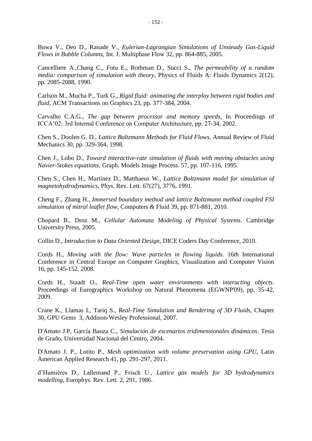Buwa V., Deo D., Ranade V., *Eulerian-Lagrangian Simulations of Unsteady Gas-Liquid* 

*Flows in Bubble Columns*, Int. J. Multiphase Flow 32, pp. 864-885, 2005.

Cancelliere A.,Chang C., Fotu E., Rothman D., Succi S., *The permeability of a random media: comparison of simulation with theory*, Physics of Fluids A: Fluids Dynamics 2(12), pp. 2085-2088, 1990.

Carlson M., Mucha P., Turk G., *Rigid fluid: animating the interplay between rigid bodies and fluid*, ACM Transactions on Graphics 23, pp. 377-384, 2004.

Carvalho C.A.G., *The gap between processor and memory speeds,* In Proceedings of ICCA'02: 3rd Internal Conference on Computer Architecture, pp. 27-34, 2002.

Chen S., Doolen G. D., *Lattice Boltzmann Methods for Fluid Flows*. Annual Review of Fluid Mechanics 30, pp. 329-364, 1998.

Chen J., Lobo D., *Toward interactive-rate simulation of fluids with moving obstacles using Navier-Stokes equations*, Graph. Models Image Process. 57, pp. 107-116, 1995.

Chen S., Chen H., Martínez D., Matthaeus W., *Lattice Boltzmann model for simulation of magnetohydrodynamics*, Phys. Rev. Lett. 67(27), 3776, 1991.

Cheng F., Zhang H., *Immersed boundary method and lattice Boltzmann method coupled FSI simulation of mitral leaflet flow*, Computers & Fluid 39, pp. 871-881, 2010.

Chopard B., Droz M., *Cellular Automata Modeling of Physical Systems*. Cambridge University Press, 2005.

Collin D., *Introduction to Data Oriented Design*, DICE Coders Day Conference, 2010.

Cords H., *Moving with the flow: Wave particles in flowing liquids*. 16th International Conference in Central Europe on Computer Graphics, Visualization and Computer Vision 16, pp. 145-152, 2008.

Cords H., Staadt O., *Real-Time open water environments with interacting objects*. Proceedings of Eurographics Workshop on Natural Phenomena (EGWNP'09), pp. 35-42, 2009.

Crane K., Llamas I., Tariq S., *Real-Time Simulation and Rendering of 3D Fluids*, Chapter 30, GPU Gems 3, Addison-Wesley Professional, 2007.

D'Amato J.P, García Bauza C., *Simulación de escenarios tridimensionales dinámicos*. Tesis de Grado, Universidad Nacional del Centro, 2004.

D'Amato J. P., Lotito P., *Mesh optimization with volume preservation using GPU*, Latin American Applied Research 41, pp. 291-297, 2011.

d'Humières D., Lallemand P., Frisch U., *Lattice gas models for 3D hydrodynamics modelling*, Europhys. Rev. Lett. 2, 291, 1986.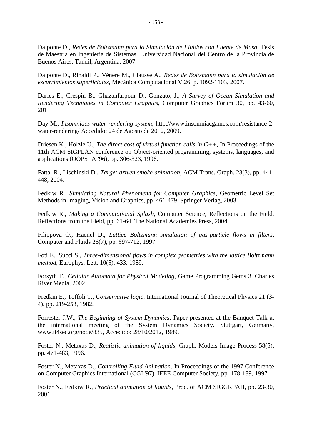Dalponte D., *Redes de Boltzmann para la Simulación de Fluidos con Fuente de Masa*. Tesis de Maestría en Ingeniería de Sistemas, Universidad Nacional del Centro de la Provincia de Buenos Aires, Tandil, Argentina, 2007.

Dalponte D., Rinaldi P., Vénere M., Clausse A., *Redes de Boltzmann para la simulación de escurrimientos superficiales*, Mecánica Computacional V.26, p. 1092-1103, 2007.

Darles E., Crespin B., Ghazanfarpour D., Gonzato, J., *A Survey of Ocean Simulation and Rendering Techniques in Computer Graphics*, Computer Graphics Forum 30, pp. 43-60, 2011.

Day M., *Insomniacs water rendering system*, http://www.insomniacgames.com/resistance-2 water-rendering/ Accedido: 24 de Agosto de 2012, 2009.

Driesen K., Hölzle U., *The direct cost of virtual function calls in C++*, In Proceedings of the 11th ACM SIGPLAN conference on Object-oriented programming, systems, languages, and applications (OOPSLA '96), pp. 306-323, 1996.

Fattal R., Lischinski D., *Target-driven smoke animation*, ACM Trans. Graph. 23(3), pp. 441- 448, 2004.

Fedkiw R., *Simulating Natural Phenomena for Computer Graphics*, Geometric Level Set Methods in Imaging, Vision and Graphics, pp. 461-479. Springer Verlag, 2003.

Fedkiw R., *Making a Computational Splash*, Computer Science, Reflections on the Field, Reflections from the Field, pp. 61-64. The National Academies Press, 2004.

Filippova O., Haenel D., *Lattice Boltzmann simulation of gas-particle flows in filters*, Computer and Fluids 26(7), pp. 697-712, 1997

Foti E., Succi S., *Three-dimensional flows in complex geometries with the lattice Boltzmann method*, Europhys. Lett. 10(5), 433, 1989.

Forsyth T., *Cellular Automata for Physical Modeling*, Game Programming Gems 3. Charles River Media, 2002.

Fredkin E., Toffoli T., *Conservative logic*, International Journal of Theoretical Physics 21 (3- 4), pp. 219-253, 1982.

Forrester J.W., *The Beginning of System Dynamics*. Paper presented at the Banquet Talk at the international meeting of the System Dynamics Society. Stuttgart, Germany, www.it4sec.org/node/835, Accedido: 28/10/2012, 1989.

Foster N., Metaxas D., *Realistic animation of liquids,* Graph. Models Image Process 58(5), pp. 471-483, 1996.

Foster N., Metaxas D., *Controlling Fluid Animation*. In Proceedings of the 1997 Conference on Computer Graphics International (CGI '97). IEEE Computer Society, pp. 178-189, 1997.

Foster N., Fedkiw R., *Practical animation of liquids*, Proc. of ACM SIGGRPAH, pp. 23-30, 2001.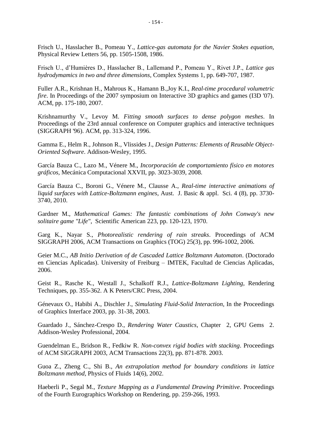Frisch U., Hasslacher B., Pomeau Y., *Lattice-gas automata for the Navier Stokes equation,*  Physical Review Letters 56, pp. 1505-1508, 1986.

Frisch U., d'Humières D., Hasslacher B., Lallemand P., Pomeau Y., Rivet J.P., *Lattice gas hydrodymamics in two and three dimensions*, Complex Systems 1, pp. 649-707, 1987.

Fuller A.R., Krishnan H., Mahrous K., Hamann B.,Joy K.I., *Real-time procedural volumetric fire*. In Proceedings of the 2007 symposium on Interactive 3D graphics and games (I3D '07). ACM, pp. 175-180, 2007.

Krishnamurthy V., Levoy M. *Fitting smooth surfaces to dense polygon meshes*. In Proceedings of the 23rd annual conference on Computer graphics and interactive techniques (SIGGRAPH '96). ACM, pp. 313-324, 1996.

Gamma E., Helm R., Johnson R., Vlissides J., *Design Patterns: Elements of Reusable Object-Oriented Software*. Addison-Wesley, 1995.

García Bauza C., Lazo M., Vénere M., *Incorporación de comportamiento físico en motores gráficos,* Mecánica Computacional XXVII, pp. 3023-3039, 2008.

García Bauza C., Boroni G., Vénere M., Clausse A., *Real-time interactive animations of liquid surfaces with Lattice-Boltzmann engines*, Aust. J. Basic & appl. Sci. 4 (8), pp. 3730- 3740, 2010.

Gardner M., *Mathematical Games: The fantastic combinations of John Conway's new solitaire game "Life"*, Scientific American 223, pp. 120-123, 1970.

Garg K., Nayar S., *Photorealistic rendering of rain streaks*. Proceedings of ACM SIGGRAPH 2006, ACM Transactions on Graphics (TOG) 25(3), pp. 996-1002, 2006.

Geier M.C., *AB Initio Derivation of de Cascaded Lattice Boltzmann Automaton*. (Doctorado en Ciencias Aplicadas). University of Freiburg – IMTEK, Facultad de Ciencias Aplicadas, 2006.

Geist R., Rasche K., Westall J., Schalkoff R.J., *Lattice-Boltzmann Lighting*, Rendering Techniques, pp. 355-362. A K Peters/CRC Press, 2004.

Génevaux O., Habibi A., Dischler J., *Simulating Fluid-Solid Interaction*, In the Proceedings of Graphics Interface 2003, pp. 31-38, 2003.

Guardado J., Sánchez-Crespo D., *Rendering Water Caustics*, Chapter 2, GPU Gems 2. Addison-Wesley Professional, 2004.

Guendelman E., Bridson R., Fedkiw R. *Non-convex rigid bodies with stacking*. Proceedings of ACM SIGGRAPH 2003, ACM Transactions 22(3), pp. 871-878. 2003.

Guoa Z., Zheng C., Shi B., *An extrapolation method for boundary conditions in lattice Boltzmann method,* Physics of Fluids 14(6), 2002.

Haeberli P., Segal M., *Texture Mapping as a Fundamental Drawing Primitive*. Proceedings of the Fourth Eurographics Workshop on Rendering, pp. 259-266, 1993.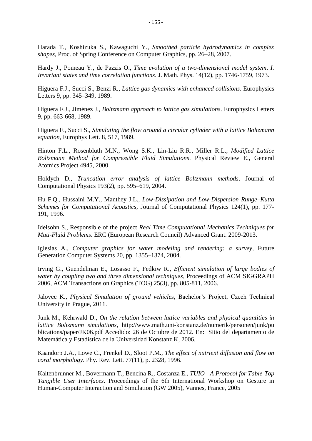Harada T., Koshizuka S., Kawaguchi Y., *Smoothed particle hydrodynamics in complex shapes*, Proc. of Spring Conference on Computer Graphics, pp. 26–28, 2007.

Hardy J., Pomeau Y., de Pazzis O., *Time evolution of a two-dimensional model system*. *I. Invariant states and time correlation functions*. J. Math. Phys. 14(12), pp. 1746-1759, 1973.

Higuera F.J., Succi S., Benzi R., *Lattice gas dynamics with enhanced collisions*. Europhysics Letters 9, pp. 345–349, 1989.

Higuera F.J., Jiménez J., *Boltzmann approach to lattice gas simulations*. Europhysics Letters 9, pp. 663-668, 1989.

Higuera F., Succi S., *Simulating the flow around a circular cylinder with a lattice Boltzmann equation*, Europhys Lett. 8, 517, 1989.

Hinton F.L., Rosenbluth M.N., Wong S.K., Lin-Liu R.R., Miller R.L., *Modified Lattice Boltzmann Method for Compressible Fluid Simulations*. Physical Review E., General Atomics Project 4945, 2000.

Holdych D., *Truncation error analysis of lattice Boltzmann methods*. Journal of Computational Physics 193(2), pp. 595–619, 2004.

Hu F.Q., Hussaini M.Y., Manthey J.L., *Low-Dissipation and Low-Dispersion Runge–Kutta Schemes for Computational Acoustics*, Journal of Computational Physics 124(1), pp. 177- 191, 1996.

Idelsohn S., Responsible of the project *Real Time Computational Mechanics Techniques for Muti-Fluid Problems*. ERC (European Research Council) Advanced Grant. 2009-2013.

Iglesias A., *Computer graphics for water modeling and rendering: a survey*, Future Generation Computer Systems 20, pp. 1355–1374, 2004.

Irving G., Guendelman E., Losasso F., Fedkiw R., *Efficient simulation of large bodies of water by coupling two and three dimensional techniques*, Proceedings of ACM SIGGRAPH 2006, ACM Transactions on Graphics (TOG) 25(3), pp. 805-811, 2006.

Jalovec K., *Physical Simulation of ground vehicles*, Bachelor's Project, Czech Technical University in Prague, 2011.

Junk M., Kehrwald D., *On the relation between lattice variables and physical quantities in lattice Boltzmann simulations*, http://www.math.uni-konstanz.de/numerik/personen/junk/pu blications/paper/JK06.pdf Accedido: 26 de Octubre de 2012. En: Sitio del departamento de Matemática y Estadística de la Universidad Konstanz.K, 2006.

Kaandorp J.A., Lowe C., Frenkel D., Sloot P.M., *The effect of nutrient diffusion and flow on coral morphology*. Phy. Rev. Lett. 77(11), p. 2328, 1996.

Kaltenbrunner M., Bovermann T., Bencina R., Costanza E., *TUIO - A Protocol for Table-Top Tangible User Interfaces*. Proceedings of the 6th International Workshop on Gesture in Human-Computer Interaction and Simulation (GW 2005), Vannes, France, 2005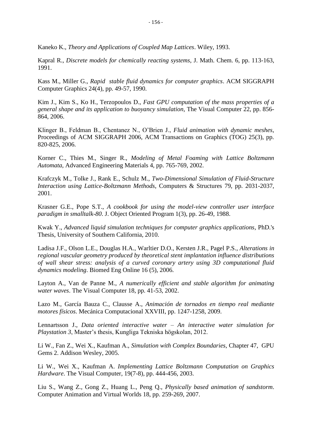Kaneko K., *Theory and Applications of Coupled Map Lattices*. Wiley, 1993.

Kapral R., *Discrete models for chemically reacting systems*, J. Math. Chem. 6, pp. 113-163, 1991.

Kass M., Miller G., *Rapid stable fluid dynamics for computer graphics*. ACM SIGGRAPH Computer Graphics 24(4), pp. 49-57, 1990.

Kim J., Kim S., Ko H., Terzopoulos D., *Fast GPU computation of the mass properties of a general shape and its application to buoyancy simulation*, The Visual Computer 22, pp. 856- 864, 2006.

Klinger B., Feldman B., Chentanez N., O'Brien J., *Fluid animation with dynamic meshes*, Proceedings of ACM SIGGRAPH 2006, ACM Transactions on Graphics (TOG) 25(3), pp. 820-825, 2006.

Korner C., Thies M., Singer R., *Modeling of Metal Foaming with Lattice Boltzmann Automata*, Advanced Engineering Materials 4, pp. 765-769, 2002.

Krafczyk M., Tolke J., Rank E., Schulz M., *Two-Dimensional Simulation of Fluid-Structure Interaction using Lattice-Boltzmann Methods*, Computers & Structures 79, pp. 2031-2037, 2001.

Krasner G.E., Pope S.T., *A cookbook for using the model-view controller user interface paradigm in smalltalk-80*. J. Object Oriented Program 1(3), pp. 26-49, 1988.

Kwak Y., *Advanced liquid simulation techniques for computer graphics applications*, PhD.'s Thesis, University of Southern California, 2010.

Ladisa J.F., Olson L.E., Douglas H.A., Warltier D.O., Kersten J.R., Pagel P.S., *Alterations in regional vascular geometry produced by theoretical stent implantation influence distributions of wall shear stress: analysis of a curved coronary artery using 3D computational fluid dynamics modeling*. Biomed Eng Online 16 (5), 2006.

Layton A., Van de Panne M., *A numerically efficient and stable algorithm for animating water waves*. The Visual Computer 18, pp. 41-53, 2002.

Lazo M., García Bauza C., Clausse A., *Animación de tornados en tiempo real mediante motores físicos*. Mecánica Computacional XXVIII, pp. 1247-1258, 2009.

Lennartsson J., *Data oriented interactive water – An interactive water simulation for Playstation 3*, Master's thesis, Kungliga Tekniska högskolan, 2012.

Li W., Fan Z., Wei X., Kaufman A., *Simulation with Complex Boundaries*, Chapter 47, GPU Gems 2. Addison Wesley, 2005.

Li W., Wei X., Kaufman A. *Implementing Lattice Boltzmann Computation on Graphics Hardware*. The Visual Computer, 19(7-8), pp. 444-456, 2003.

Liu S., Wang Z., Gong Z., Huang L., Peng Q., *Physically based animation of sandstorm*. Computer Animation and Virtual Worlds 18, pp. 259-269, 2007.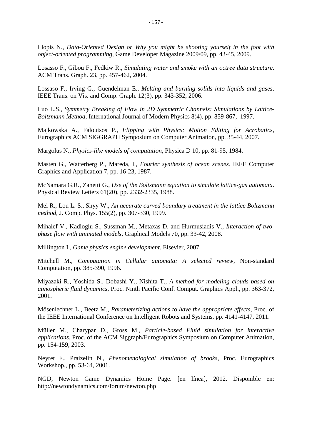Llopis N., *Data-Oriented Design or Why you might be shooting yourself in the foot with object-oriented programming*, Game Developer Magazine 2009/09, pp. 43-45, 2009.

Losasso F., Gibou F., Fedkiw R., *Simulating water and smoke with an octree data structure*. ACM Trans. Graph. 23, pp. 457-462, 2004.

Lossaso F., Irving G., Guendelman E., *Melting and burning solids into liquids and gases*. IEEE Trans. on Vis. and Comp. Graph. 12(3), pp. 343-352, 2006.

Luo L.S., *Symmetry Breaking of Flow in 2D Symmetric Channels: Simulations by Lattice-Boltzmann Method,* International Journal of Modern Physics 8(4), pp. 859-867, 1997.

Majkowska A., Faloutsos P., *Flipping with Physics: Motion Editing for Acrobatics*, Eurographics ACM SIGGRAPH Symposium on Computer Animation, pp. 35-44, 2007.

Margolus N., *Physics-like models of computation*, Physica D 10, pp. 81-95, 1984.

Masten G., Watterberg P., Mareda, I., *Fourier synthesis of ocean scenes*. IEEE Computer Graphics and Application 7, pp. 16-23, 1987.

McNamara G.R., Zanetti G., *Use of the Boltzmann equation to simulate lattice-gas automata*. Physical Review Letters 61(20), pp. 2332-2335, 1988.

Mei R., Lou L. S., Shyy W., *An accurate curved boundary treatment in the lattice Boltzmann method*, J. Comp. Phys. 155(2), pp. 307-330, 1999.

Mihalef V., Kadioglu S., Sussman M., Metaxas D. and Hurmusiadis V., *Interaction of twophase flow with animated models*, Graphical Models 70, pp. 33-42, 2008.

Millington I., *Game physics engine development*. Elsevier, 2007.

Mitchell M., *Computation in Cellular automata: A selected review*, Non-standard Computation, pp. 385-390, 1996.

Miyazaki R., Yoshida S., Dobashi Y., Nishita T., *A method for modeling clouds based on atmospheric fluid dynamics*, Proc. Ninth Pacific Conf. Comput. Graphics Appl., pp. 363-372, 2001.

Mösenlechner L., Beetz M., *Parameterizing actions to have the appropriate effects*, Proc. of the IEEE International Conference on Intelligent Robots and Systems, pp. 4141-4147, 2011.

Müller M., Charypar D., Gross M., *Particle-based Fluid simulation for interactive applications*. Proc. of the ACM Siggraph/Eurographics Symposium on Computer Animation, pp. 154-159, 2003.

Neyret F., Praizelin N., *Phenomenological simulation of brooks*, Proc. Eurographics Workshop., pp. 53-64, 2001.

NGD, Newton Game Dynamics Home Page. [en línea], 2012. Disponible en: http://newtondynamics.com/forum/newton.php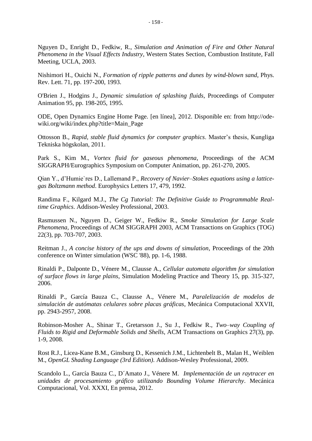Nguyen D., Enright D., Fedkiw, R., *Simulation and Animation of Fire and Other Natural Phenomena in the Visual Effects Industry*, Western States Section, Combustion Institute, Fall Meeting, UCLA, 2003.

Nishimori H., Ouichi N., *Formation of ripple patterns and dunes by wind-blown sand*, Phys. Rev. Lett. 71, pp. 197-200, 1993.

O'Brien J., Hodgins J., *Dynamic simulation of splashing fluids*, Proceedings of Computer Animation 95, pp. 198-205, 1995.

ODE, Open Dynamics Engine Home Page. [en línea], 2012. Disponible en: from http://odewiki.org/wiki/index.php?title=Main\_Page

Ottosson B., *Rapid, stable fluid dynamics for computer graphics*. Master's thesis, Kungliga Tekniska högskolan, 2011.

Park S., Kim M., *Vortex fluid for gaseous phenomena*, Proceedings of the ACM SIGGRAPH/Eurographics Symposium on Computer Animation, pp. 261-270, 2005.

Qian Y., d'Humie`res D., Lallemand P., *Recovery of Navier–Stokes equations using a latticegas Boltzmann method*. Europhysics Letters 17, 479, 1992.

Randima F., Kilgard M.J., *The Cg Tutorial: The Definitive Guide to Programmable Realtime Graphics*. Addison-Wesley Professional, 2003.

Rasmussen N., Nguyen D., Geiger W., Fedkiw R., *Smoke Simulation for Large Scale Phenomena*, Proceedings of ACM SIGGRAPH 2003, ACM Transactions on Graphics (TOG) 22(3), pp. 703-707, 2003.

Reitman J., *A concise history of the ups and downs of simulation*, Proceedings of the 20th conference on Winter simulation (WSC '88), pp. 1-6, 1988.

Rinaldi P., Dalponte D., Vénere M., Clausse A., *Cellular automata algorithm for simulation of surface flows in large plains*, Simulation Modeling Practice and Theory 15, pp. 315-327, 2006.

Rinaldi P., García Bauza C., Clausse A., Vénere M., *Paralelización de modelos de simulación de autómatas celulares sobre placas gráficas*, Mecánica Computacional XXVII, pp. 2943-2957, 2008.

Robinson-Mosher A., Shinar T., Gretarsson J., Su J., Fedkiw R., *Two–way Coupling of Fluids to Rigid and Deformable Solids and Shells*, ACM Transactions on Graphics 27(3), pp. 1-9, 2008.

Rost R.J., Licea-Kane B.M., Ginsburg D., Kessenich J.M., Lichtenbelt B., Malan H., Weiblen M., *OpenGL Shading Language (3rd Edition)*. Addison-Wesley Professional, 2009.

Scandolo L., García Bauza C., D´Amato J., Vénere M. *Implementación de un raytracer en unidades de procesamiento gráfico utilizando Bounding Volume Hierarchy*. Mecánica Computacional, Vol. XXXI, En prensa, 2012.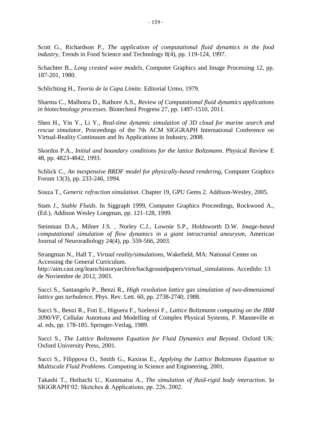Scott G., Richardson P., *The application of computational fluid dynamics in the food industry*, Trends in Food Science and Technology 8(4), pp. 119-124, 1997.

Schachter B., *Long crested wave models*, Computer Graphics and Image Processing 12, pp. 187-201, 1980.

Schlichting H., *Teoría de la Capa Límite*. Editorial Urmo, 1979.

Sharma C., Malhotra D., Rathore A.S., *Review of Computational fluid dynamics applications in biotechnology processes*. Biotechnol Progress 27, pp. 1497-1510, 2011.

Shen H., Yin Y., Li Y., *Real-time dynamic simulation of 3D cloud for marine search and rescue simulator*, Proceedings of the 7th ACM SIGGRAPH International Conference on Virtual-Reality Continuum and Its Applications in Industry, 2008.

Skordos P.A., *Initial and boundary conditions for the lattice Boltzmann*. Physical Review E 48, pp. 4823-4842, 1993.

Schlick C., *An inexpensive BRDF model for physically-based rendering*, Computer Graphics Forum 13(3), pp. 233-246, 1994.

Souza T., *Generic refraction simulation*. Chapter 19, GPU Gems 2. Addison-Wesley, 2005.

Stam J., *Stable Fluids*. In Siggraph 1999, Computer Graphics Proceedings, Rockwood A., (Ed.), Addison Wesley Longman, pp. 121-128, 1999.

Steinman D.A., Milner J.S. , Norley C.J., Lownie S.P., Holdsworth D.W. *Image-based computational simulation of flow dynamics in a giant intracranial aneurysm*, American Journal of Neuroradiology 24(4), pp. 559-566, 2003.

Strangman N., Hall T., *Virtual reality/simulations,* Wakefield, MA: National Center on Accessing the General Curriculum.

http://aim.cast.org/learn/historyarchive/backgroundpapers/virtual\_simulations. Accedido: 13 de Noviembre de 2012, 2003.

Succi S., Santangelo P., Benzi R., *High resolution lattice gas simulation of two-dimensional lattice gas turbulence*, Phys. Rev. Lett. 60, pp. 2738-2740, 1988.

Succi S., Benzi R., Foti E., Higuera F., Szelenyi F., *Lattice Boltzmann computing on the IBM 3090/VF*, Cellular Automata and Modelling of Complex Physical Systems, P. Manneville et al. eds, pp. 178-185. Springer-Verlag, 1989.

Succi S., *The Lattice Boltzmann Equation for Fluid Dynamics and Beyond*. Oxford UK: Oxford University Press, 2001.

Succi S., Filippova O., Smith G., Kaxiras E., *Applying the Lattice Boltzmann Equation to Multiscale Fluid Problems*. Computing in Science and Engineering, 2001.

Takashi T., Heihachi U., Kunimatsu A., *The simulation of fluid-rigid body interaction*. In SIGGRAPH'02: Sketches & Applications, pp. 226, 2002.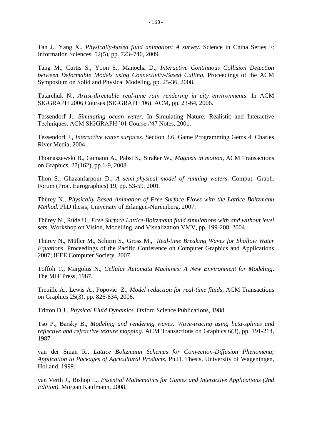Tan J., Yang X., *Physically-based fluid animation: A survey*. Science in China Series F: Information Sciences, 52(5), pp. 723–740, 2009.

Tang M., Curtis S., Yoon S., Manocha D., *Interactive Continuous Collision Detection between Deformable Models using Connectivity-Based Culling*, Proceedings of the ACM Symposium on Solid and Physical Modeling, pp. 25-36, 2008.

Tatarchuk N., *Artist-directable real-time rain rendering in city environments*. In ACM SIGGRAPH 2006 Courses (SIGGRAPH '06). ACM, pp. 23-64, 2006.

Tessendorf J., *Simulating ocean water*. In Simulating Nature: Realistic and Interactive Techniques, ACM SIGGRAPH '01 Course #47 Notes, 2001.

Tessendorf J., *Interactive water surfaces*. Section 3.6, Game Programming Gems 4. Charles River Media, 2004.

Thomaszewski B., Gumann A., Pabst S., Straßer W., *Magnets in motion*, ACM Transactions on Graphics, 27(162), pp.1-9, 2008.

Thon S., Ghazanfarpour D., *A semi-physical model of running waters*. Comput. Graph. Forum (Proc. Eurographics) 19, pp. 53-59, 2001.

Thürey N., *Physically Based Animation of Free Surface Flows with the Lattice Boltzmann Method*. PhD thesis, University of Erlangen-Nuremberg, 2007.

Thürey N., Rüde U., *Free Surface Lattice-Boltzmann fluid simulations with and without level sets*. Workshop on Vision, Modelling, and Visualization VMV, pp. 199-208, 2004.

Thürey N., Müller M., Schirm S., Gross M., *Real-time Breaking Waves for Shallow Water Equations*. Proceedings of the Pacific Conference on Computer Graphics and Applications 2007; IEEE Computer Society, 2007.

Toffoli T., Margolus N., *Cellular Automata Machines: A New Environment for Modeling*. The MIT Press, 1987.

Treuille A., Lewis A., Popovic Z., *Model reduction for real-time fluids*, ACM Transactions on Graphics 25(3), pp. 826-834, 2006.

Tritton D.J., *Physical Fluid Dynamics*. Oxford Science Publications, 1988.

Tso P., Barsky B., *Modeling and rendering waves: Wave-tracing using beta-splines and reflective and refractive texture mapping*. ACM Transactions on Graphics 6(3), pp. 191-214, 1987.

van der Sman R., *Lattice Boltzmann Schemes for Convection-Diffusion Phenomena; Application to Packages of Agricultural Products*, Ph.D. Thesis, University of Wageningen, Holland, 1999.

van Verth J., Bishop L., *Essential Mathematics for Games and Interactive Applications (2nd Edition)*. Morgan Kaufmann, 2008.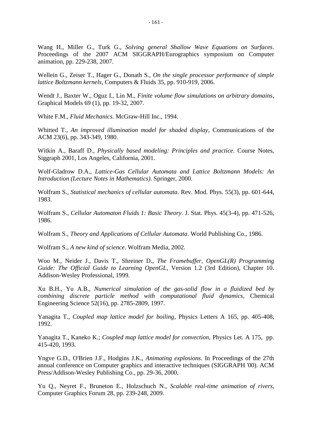Wang H., Miller G., Turk G., *Solving general Shallow Wave Equations on Surfaces*. Proceedings of the 2007 ACM SIGGRAPH/Eurographics symposium on Computer animation, pp. 229-238, 2007.

Wellein G., Zeiser T., Hager G., Donath S., *On the single processor performance of simple lattice Boltzmann kernels*, Computers & Fluids 35, pp. 910-919, 2006.

Wendt J., Baxter W., Oguz I., Lin M., *Finite volume flow simulations on arbitrary domains*, Graphical Models 69 (1), pp. 19-32, 2007.

White F.M., *Fluid Mechanics*. McGraw-Hill Inc., 1994.

Whitted T., *An improved illumination model for shaded display*, Communications of the ACM 23(6), pp. 343-349, 1980.

Witkin A., Baraff D., *Physically based modeling: Principles and practice*. Course Notes, Siggraph 2001, Los Angeles, California, 2001.

Wolf-Gladrow D.A., *Lattice-Gas Cellular Automata and Lattice Boltzmann Models: An Introduction (Lecture Notes in Mathematics)*. Springer, 2000.

Wolfram S., *Statistical mechanics of cellular automata*. Rev. Mod. Phys. 55(3), pp. 601-644, 1983.

Wolfram S., *Cellular Automaton Fluids 1: Basic Theory*. J. Stat. Phys. 45(3-4), pp. 471-526, 1986.

Wolfram S., *Theory and Applications of Cellular Automata*. World Publishing Co., 1986.

Wolfram S., *A new kind of science*. Wolfram Media, 2002.

Woo M., Neider J., Davis T., Shreiner D., *The Framebuffer, OpenGL(R) Programming Guide: The Official Guide to Learning OpenGL*, Version 1.2 (3rd Edition), Chapter 10. Addison-Wesley Professional, 1999.

Xu B.H., Yu A.B., *Numerical simulation of the gas-solid flow in a fluidized bed by combining discrete particle method with computational fluid dynamics*, Chemical Engineering Science 52(16), pp. 2785-2809, 1997.

Yanagita T., *Coupled map lattice model for boiling*, Physics Letters A 165, pp. 405-408, 1992.

Yanagita T., Kaneko K.; *Coupled map lattice model for convection*, Physics Let. A 175, pp. 415-420, 1993.

Yngve G.D., O'Brien J.F., Hodgins J.K., *Animating explosions*. In Proceedings of the 27th annual conference on Computer graphics and interactive techniques (SIGGRAPH '00). ACM Press/Addison-Wesley Publishing Co., pp. 29-36, 2000.

Yu Q., Neyret F., Bruneton E., Holzschuch N., *Scalable real-time animation of rivers*, Computer Graphics Forum 28, pp. 239-248, 2009.